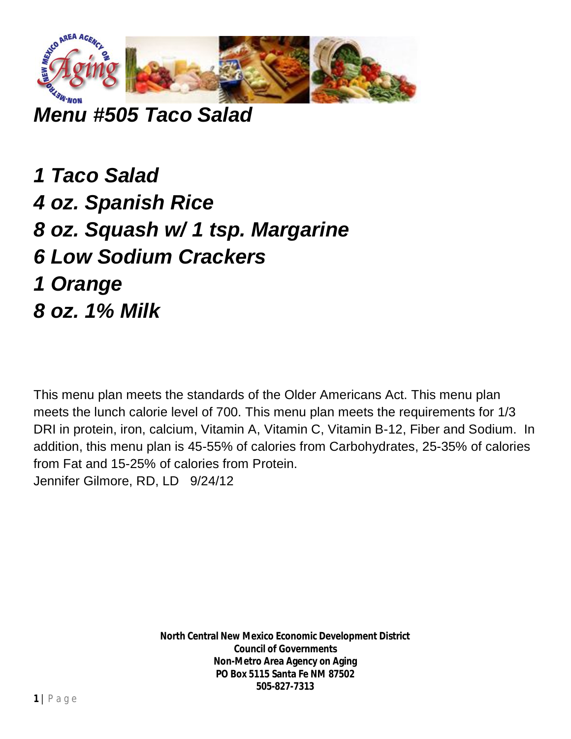

*Menu #505 Taco Salad*

*1 Taco Salad 4 oz. Spanish Rice 8 oz. Squash w/ 1 tsp. Margarine 6 Low Sodium Crackers 1 Orange 8 oz. 1% Milk*

This menu plan meets the standards of the Older Americans Act. This menu plan meets the lunch calorie level of 700. This menu plan meets the requirements for 1/3 DRI in protein, iron, calcium, Vitamin A, Vitamin C, Vitamin B-12, Fiber and Sodium. In addition, this menu plan is 45-55% of calories from Carbohydrates, 25-35% of calories from Fat and 15-25% of calories from Protein. Jennifer Gilmore, RD, LD 9/24/12

> **North Central New Mexico Economic Development District Council of Governments Non-Metro Area Agency on Aging PO Box 5115 Santa Fe NM 87502 505-827-7313**